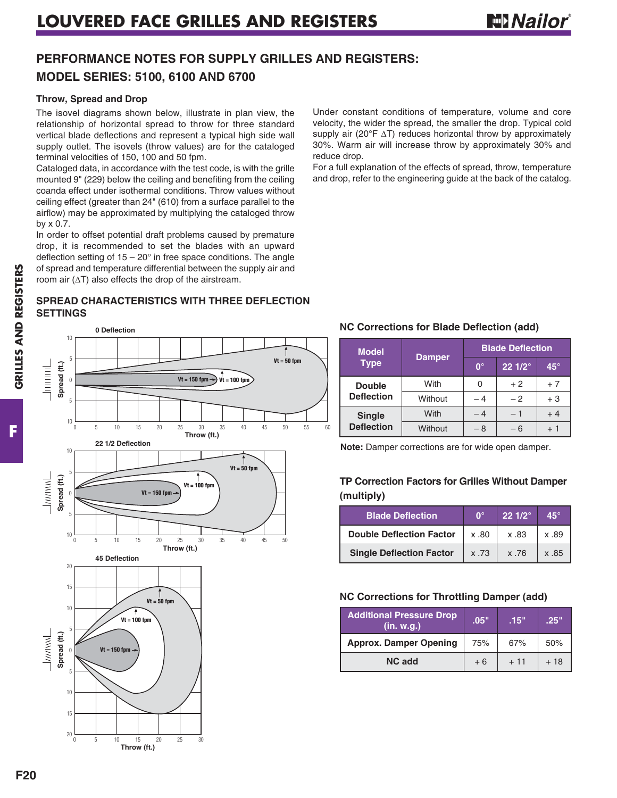## **PERFORMANCE NOTES FOR SUPPLY GRILLES AND REGISTERS: MODEL SERIES: 5100, 6100 AND 6700**

#### **Throw, Spread and Drop**

The isovel diagrams shown below, illustrate in plan view, the relationship of horizontal spread to throw for three standard vertical blade deflections and represent a typical high side wall supply outlet. The isovels (throw values) are for the cataloged terminal velocities of 150, 100 and 50 fpm.

Cataloged data, in accordance with the test code, is with the grille mounted 9" (229) below the ceiling and benefiting from the ceiling coanda effect under isothermal conditions. Throw values without ceiling effect (greater than 24" (610) from a surface parallel to the airflow) may be approximated by multiplying the cataloged throw by x 0.7.

In order to offset potential draft problems caused by premature drop, it is recommended to set the blades with an upward deflection setting of  $15 - 20^\circ$  in free space conditions. The angle of spread and temperature differential between the supply air and room air  $(\Delta T)$  also effects the drop of the airstream.

#### **SPREAD CHARACTERISTICS WITH THREE DEFLECTION SETTINGS**

**0 Deflection** 10 5 **Vt = 50 fpm**  $\frac{1}{2}$ Spread (ft.) **Spread (ft.) Spread (ft.) Spread (ft.)**  $Vt = 150$  fpm  $\rightarrow$   $Vt = 100$  fp 0 5 <sup>10</sup> 0 5 10 15 20 25 35 40 45 50 55 60 <sup>30</sup> **Throw (ft.) 22 1/2 Deflection** 10 **Vt = 50 fpm** 5  $\perp$ Spread (ft.) **Vt = 100 fpm Vt = 150 fpm** 0 5 <sup>10</sup> 0 5 10 15 20 25 35 40 45 50 <sup>30</sup> **Throw (ft.) 45 Deflection** 20 15 **Vt = 50 fpm** 10 **Vt = 100 fpm** 5 Junival Spread (ft.) **Vt = 150 fm** 0 5 10 15 20 0 5 10 15 20 25 30 **Throw (ft.)**

Under constant conditions of temperature, volume and core velocity, the wider the spread, the smaller the drop. Typical cold supply air (20°F  $\Delta$ T) reduces horizontal throw by approximately 30%. Warm air will increase throw by approximately 30% and reduce drop.

For a full explanation of the effects of spread, throw, temperature and drop, refer to the engineering guide at the back of the catalog.

### **NC Corrections for Blade Deflection (add)**

| <b>Model</b>      |               | <b>Blade Deflection</b> |                 |              |  |  |  |  |
|-------------------|---------------|-------------------------|-----------------|--------------|--|--|--|--|
| <b>Type</b>       | <b>Damper</b> | $0^{\circ}$             | $221/2^{\circ}$ | $45^{\circ}$ |  |  |  |  |
| <b>Double</b>     | With          |                         | $+2$            | $+7$         |  |  |  |  |
| <b>Deflection</b> | Without       | - 4                     | $-2$            | $+3$         |  |  |  |  |
| <b>Single</b>     | With          | - 4                     | - 1             | $+4$         |  |  |  |  |
| <b>Deflection</b> | Without       | – 8                     | - 6             | + 1          |  |  |  |  |

**Note:** Damper corrections are for wide open damper.

### **TP Correction Factors for Grilles Without Damper (multiply)**

| <b>Blade Deflection</b>         | ∩°   | $22 \frac{1}{2}$ | 45°  |
|---------------------------------|------|------------------|------|
| <b>Double Deflection Factor</b> | x.80 | x .83            | x 89 |
| <b>Single Deflection Factor</b> | x.73 | x 76             | x 85 |

#### **NC Corrections for Throttling Damper (add)**

| <b>Additional Pressure Drop</b><br>(in. w.g.) | .05" | .15"  | .25"  |
|-----------------------------------------------|------|-------|-------|
| <b>Approx. Damper Opening</b>                 | 75%  | 67%   | 50%   |
| NC add                                        | $+6$ | $+11$ | $+18$ |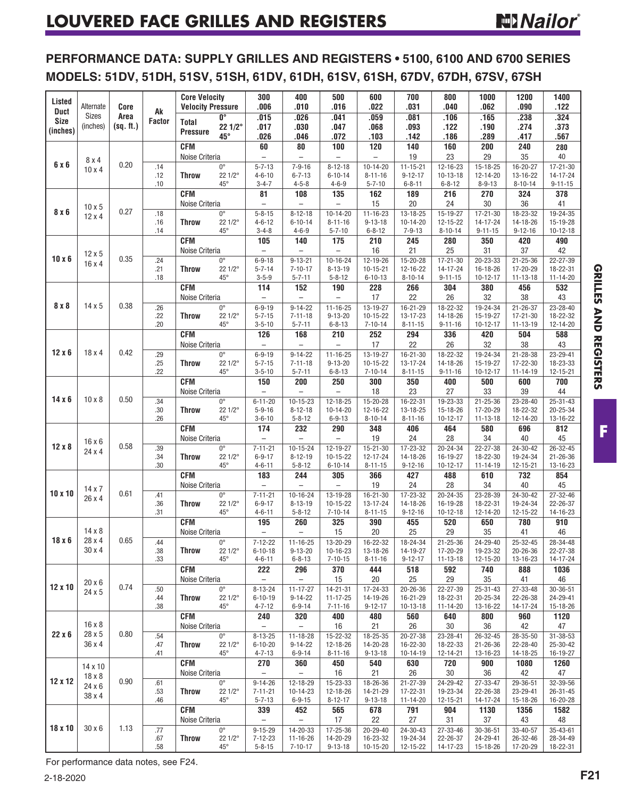**PERFORMANCE DATA: SUPPLY GRILLES AND REGISTERS • 5100, 6100 AND 6700 SERIES MODELS: 51DV, 51DH, 51SV, 51SH, 61DV, 61DH, 61SV, 61SH, 67DV, 67DH, 67SV, 67SH**

| Listed<br><b>Duct</b>   | Core<br>Alternate<br>Sizes     |                   | Ak                | <b>Core Velocity</b><br><b>Velocity Pressure</b> |                                                   | 300<br>.006                                 | 400<br>.010                                 | 500<br>.016                                   | 600<br>.022                                 | 700<br>.031                                     | 800<br>.040                                | 1000<br>.062                         | 1200<br>.090                          | 1400<br>.122                                |          |    |        |
|-------------------------|--------------------------------|-------------------|-------------------|--------------------------------------------------|---------------------------------------------------|---------------------------------------------|---------------------------------------------|-----------------------------------------------|---------------------------------------------|-------------------------------------------------|--------------------------------------------|--------------------------------------|---------------------------------------|---------------------------------------------|----------|----|--------|
| <b>Size</b><br>(inches) | (inches)                       | Area<br>(sq. ft.) | Factor            | Total<br>Pressure                                | $\overline{\mathbf{0}^{\circ}}$<br>22 1/2°<br>45° | .015<br>.017<br>.026                        | .026<br>.030<br>.046                        | .041<br>.047<br>.072                          | .059<br>.068<br>.103                        | .081<br>.093<br>.142                            | .106<br>.122<br>.186                       | .165<br>.190<br>.289                 | .238<br>.274<br>.417                  | .324<br>.373<br>.567                        |          |    |        |
|                         |                                |                   |                   | <b>CFM</b>                                       |                                                   | 60                                          | 80                                          | 100                                           | 120                                         | 140                                             | 160                                        | 200                                  | 240                                   | 280                                         |          |    |        |
|                         | 8x4                            |                   |                   |                                                  |                                                   |                                             | Noise Criteria                              |                                               | $\qquad \qquad -$                           | $\overline{\phantom{0}}$                        | $\qquad \qquad -$                          | $\overline{\phantom{0}}$             | 19                                    | 23                                          | 29       | 35 | $40\,$ |
| 6 x 6                   | $10 \times 4$                  | 0.20              | .14<br>.12<br>.10 | <b>Throw</b>                                     | $0^{\circ}$<br>22 1/2°<br>$45^{\circ}$            | $5 - 7 - 13$<br>$4 - 6 - 10$<br>$3 - 4 - 7$ | $7 - 9 - 16$<br>$6 - 7 - 13$<br>$4 - 5 - 8$ | $8 - 12 - 18$<br>$6 - 10 - 14$<br>$4 - 6 - 9$ | $10-14-20$<br>$8 - 11 - 16$<br>$5 - 7 - 10$ | $11 - 15 - 21$<br>$9 - 12 - 17$<br>$6 - 8 - 11$ | 12-16-23<br>$10 - 13 - 18$<br>$6 - 8 - 12$ | 15-18-25<br>12-14-20<br>$8 - 9 - 13$ | 16-20-27<br>13-16-22<br>$8 - 10 - 14$ | $17 - 21 - 30$<br>14-17-24<br>$9 - 11 - 15$ |          |    |        |
|                         |                                |                   |                   | <b>CFM</b><br>Noise Criteria                     |                                                   | 81<br>$\overline{\phantom{0}}$              | 108<br>$\overline{\phantom{0}}$             | 135<br>$\overline{\phantom{0}}$               | 162<br>15                                   | 189<br>20                                       | 216<br>24                                  | 270<br>30                            | 324<br>36                             | 378<br>41                                   |          |    |        |
| 8 x 6                   | $10 \times 5$<br>$12 \times 4$ | 0.27              | .18               |                                                  | $0^{\circ}$                                       | $5 - 8 - 15$                                | $8 - 12 - 18$                               | $10 - 14 - 20$                                | $11 - 16 - 23$                              | $13 - 18 - 25$                                  | $15-19-27$                                 | $17 - 21 - 30$                       | $18 - 23 - 32$                        | $19 - 24 - 35$                              |          |    |        |
|                         |                                |                   | .16<br>.14        | <b>Throw</b>                                     | $221/2^{\circ}$<br>$45^{\circ}$                   | $4 - 6 - 12$<br>$3 - 4 - 8$                 | $6 - 10 - 14$<br>$4 - 6 - 9$                | $8 - 11 - 16$<br>$5 - 7 - 10$                 | $9 - 13 - 18$<br>$6 - 8 - 12$               | $10 - 14 - 20$<br>$7 - 9 - 13$                  | 12-15-22<br>$8 - 10 - 14$                  | 14-17-24<br>$9 - 11 - 15$            | 14-18-26<br>$9 - 12 - 16$             | 15-19-28<br>$10 - 12 - 18$                  |          |    |        |
|                         |                                |                   |                   | <b>CFM</b><br>Noise Criteria                     |                                                   | 105<br>$\qquad \qquad -$                    | 140<br>$\overline{\phantom{0}}$             | 175<br>$\qquad \qquad -$                      | 210<br>16                                   | 245<br>21                                       | 280<br>25                                  | 350<br>31                            | 420<br>37                             | 490<br>42                                   |          |    |        |
| $10 \times 6$           | $12 \times 5$<br>$16 \times 4$ | 0.35              | .24               |                                                  | $0^{\circ}$                                       | $6 - 9 - 18$                                | $9 - 13 - 21$                               | $10 - 16 - 24$                                | 12-19-26                                    | 15-20-28                                        | $17 - 21 - 30$                             | 20-23-33                             | $21 - 25 - 36$                        | 22-27-39                                    |          |    |        |
|                         |                                |                   | .21<br>.18        | <b>Throw</b>                                     | 22 1/2°<br>$45^{\circ}$                           | $5 - 7 - 14$<br>$3 - 5 - 9$                 | $7 - 10 - 17$<br>$5 - 7 - 11$               | $8 - 13 - 19$<br>$5 - 8 - 12$                 | $10 - 15 - 21$<br>$6 - 10 - 13$             | 12-16-22<br>$8 - 10 - 14$                       | 14-17-24<br>$9 - 11 - 15$                  | 16-18-26<br>$10 - 12 - 17$           | 17-20-29<br>11-13-18                  | 18-22-31<br>11-14-20                        |          |    |        |
|                         |                                |                   |                   | <b>CFM</b><br>Noise Criteria                     |                                                   | 114<br>$\qquad \qquad -$                    | 152<br>$\overline{\phantom{0}}$             | 190<br>$\qquad \qquad -$                      | 228<br>17                                   | 266<br>22                                       | 304<br>26                                  | 380<br>32                            | 456<br>38                             | 532<br>43                                   |          |    |        |
| 8 x 8                   | 14x5                           | 0.38              | .26               |                                                  | $0^{\circ}$                                       | $6 - 9 - 19$                                | $9 - 14 - 22$                               | $11 - 16 - 25$                                | 13-19-27                                    | 16-21-29                                        | 18-22-32                                   | 19-24-34                             | $21 - 26 - 37$                        | 23-28-40                                    |          |    |        |
|                         |                                |                   | .22<br>.20        | <b>Throw</b>                                     | 22 1/2°<br>$45^{\circ}$                           | $5 - 7 - 15$<br>$3 - 5 - 10$                | $7 - 11 - 18$<br>$5 - 7 - 11$               | $9 - 13 - 20$<br>$6 - 8 - 13$                 | $10 - 15 - 22$<br>$7 - 10 - 14$             | 13-17-23<br>$8 - 11 - 15$                       | 14-18-26<br>$9 - 11 - 16$                  | 15-19-27<br>$10 - 12 - 17$           | $17 - 21 - 30$<br>11-13-19            | 18-22-32<br>12-14-20                        |          |    |        |
|                         |                                |                   |                   | <b>CFM</b>                                       |                                                   | 126                                         | 168                                         | 210                                           | 252                                         | 294                                             | 336                                        | 420                                  | 504                                   | 588                                         |          |    |        |
|                         |                                |                   |                   | Noise Criteria                                   |                                                   | $\qquad \qquad -$                           | $\overline{\phantom{0}}$                    | $\qquad \qquad -$                             | 17                                          | 22                                              | 26                                         | 32                                   | 38                                    | 43                                          |          |    |        |
| $12 \times 6$           | $18 \times 4$                  | 0.42              | .29<br>.25        | <b>Throw</b>                                     | $0^{\circ}$<br>22 1/2°                            | $6 - 9 - 19$<br>$5 - 7 - 15$                | $9 - 14 - 22$<br>$7 - 11 - 18$              | $11 - 16 - 25$<br>$9 - 13 - 20$               | 13-19-27<br>$10-15-22$                      | $16 - 21 - 30$<br>13-17-24                      | 18-22-32<br>14-18-26                       | 19-24-34<br>15-19-27                 | $21 - 28 - 38$<br>17-22-30            | 23-29-41<br>18-23-33                        |          |    |        |
|                         |                                |                   | .22               |                                                  | $45^{\circ}$                                      | $3 - 5 - 10$                                | $5 - 7 - 11$                                | $6 - 8 - 13$                                  | $7 - 10 - 14$                               | $8 - 11 - 15$                                   | $9 - 11 - 16$                              | $10-12-17$                           | 11-14-19                              | 12-15-21                                    |          |    |        |
|                         |                                | 0.50              |                   | <b>CFM</b><br>Noise Criteria                     |                                                   | 150<br>$\overline{\phantom{0}}$             | 200                                         | 250<br>$\overline{\phantom{0}}$               | 300<br>18                                   | 350<br>23                                       | 400<br>27                                  | 500<br>33                            | 600<br>39                             | 700<br>44                                   |          |    |        |
| $14 \times 6$           | $10 \times 8$                  |                   | .34               |                                                  | $0^{\circ}$                                       | $6 - 11 - 20$                               | $\qquad \qquad -$<br>$10-15-23$             | 12-18-25                                      | 15-20-28                                    | $16 - 22 - 31$                                  | 19-23-33                                   | $21 - 25 - 36$                       | 23-28-40                              | $25 - 31 - 43$                              |          |    |        |
|                         |                                |                   | .30               | <b>Throw</b>                                     | 22 1/2°                                           | $5 - 9 - 16$                                | $8 - 12 - 18$                               | 10-14-20                                      | 12-16-22                                    | 13-18-25                                        | 15-18-26                                   | 17-20-29                             | 18-22-32                              | 20-25-34                                    |          |    |        |
|                         |                                |                   | .26               |                                                  | $45^{\circ}$                                      | $3 - 6 - 10$                                | $5 - 8 - 12$                                | $6 - 9 - 13$                                  | $8 - 10 - 14$                               | $8 - 11 - 16$                                   | $10 - 12 - 17$                             | $11 - 13 - 18$                       | 12-14-20                              | 13-16-22                                    |          |    |        |
|                         | 16x6                           | 0.58              |                   | <b>CFM</b><br>Noise Criteria                     |                                                   | 174<br>$\equiv$                             | 232<br>$\qquad \qquad -$                    | 290<br>$\overline{\phantom{0}}$               | 348<br>19                                   | 406<br>24                                       | 464<br>28                                  | 580<br>34                            | 696<br>40                             | 812<br>45                                   |          |    |        |
| $12 \times 8$           | 24 x 4                         |                   | .39               |                                                  |                                                   | $0^{\circ}$                                 | $7 - 11 - 21$                               | $10 - 15 - 24$                                | 12-19-27                                    | 15-21-30                                        | 17-23-32                                   | 20-24-34                             | 22-27-38                              | 24-30-42                                    | 26-32-45 |    |        |
|                         |                                |                   | .34<br>.30        | <b>Throw</b>                                     | 22 1/2°<br>$45^{\circ}$                           | $6 - 9 - 17$<br>$4 - 6 - 11$                | $8 - 12 - 19$<br>$5 - 8 - 12$               | $10 - 15 - 22$<br>$6 - 10 - 14$               | 12-17-24<br>$8 - 11 - 15$                   | 14-18-26<br>$9 - 12 - 16$                       | 16-19-27<br>$10 - 12 - 17$                 | 18-22-30<br>11-14-19                 | 19-24-34<br>$12 - 15 - 21$            | $21 - 26 - 36$<br>13-16-23                  |          |    |        |
|                         |                                |                   |                   | <b>CFM</b>                                       |                                                   | 183                                         | 244                                         | 305                                           | 366                                         | 427                                             | 488                                        | 610                                  | 732                                   | 854                                         |          |    |        |
|                         | 14x7                           |                   |                   | Noise Criteria                                   |                                                   | $\overline{\phantom{a}}$                    | $\overline{\phantom{0}}$                    | $\qquad \qquad -$                             | 19                                          | 24                                              | 28                                         | 34                                   | 40                                    | 45                                          |          |    |        |
| $10 \times 10$          | 26 x 4                         | 0.61              | .41<br>.36        | <b>Throw</b>                                     | $0^{\circ}$<br>22 1/2°                            | $7 - 11 - 21$<br>$6 - 9 - 17$               | $10 - 16 - 24$<br>$8 - 13 - 19$             | 13-19-28<br>10-15-22                          | 16-21-30<br>13-17-24                        | 17-23-32<br>14-18-26                            | 20-24-35<br>16-19-28                       | 23-28-39<br>18-22-31                 | 24-30-42<br>19-24-34                  | 27-32-46<br>22-26-37                        |          |    |        |
|                         |                                |                   | .31               |                                                  | $45^{\circ}$                                      | $4 - 6 - 11$                                | $5 - 8 - 12$                                | $7 - 10 - 14$                                 | $8 - 11 - 15$                               | $9 - 12 - 16$                                   | $10 - 12 - 18$                             | 12-14-20                             | 12-15-22                              | 14-16-23                                    |          |    |        |
|                         |                                |                   |                   | <b>CFM</b>                                       |                                                   | 195                                         | 260                                         | 325                                           | 390                                         | 455                                             | 520                                        | 650                                  | 780                                   | 910                                         |          |    |        |
|                         | $14 \times 8$                  | 0.65              |                   | Noise Criteria                                   |                                                   | $\overline{\phantom{a}}$                    | $\qquad \qquad -$                           | 15                                            | 20                                          | 25                                              | 29                                         | 35                                   | 41                                    | 46                                          |          |    |        |
| $18 \times 6$           | 28 x 4                         |                   | .44               |                                                  | $0^\circ$                                         | $7 - 12 - 22$                               | $11 - 16 - 25$                              | $13 - 20 - 29$                                | $16 - 22 - 32$                              | $18 - 24 - 34$                                  | $21 - 25 - 36$                             | $24 - 29 - 40$                       | $25 - 32 - 45$                        | $28 - 34 - 48$                              |          |    |        |
|                         | $30 \times 4$                  |                   | .38<br>.33        | Throw                                            | 22 1/2°<br>$45^{\circ}$                           | $6 - 10 - 18$<br>$4 - 6 - 11$               | $9 - 13 - 20$<br>$6 - 8 - 13$               | 10-16-23<br>$7 - 10 - 15$                     | 13-18-26<br>$8 - 11 - 16$                   | 14-19-27<br>$9 - 12 - 17$                       | 17-20-29<br>11-13-18                       | 19-23-32<br>12-15-20                 | 20-26-36<br>13-16-23                  | 22-27-38<br>14-17-24                        |          |    |        |
|                         |                                |                   |                   | <b>CFM</b>                                       |                                                   | 222                                         | 296                                         | 370                                           | 444                                         | 518                                             | 592                                        | 740                                  | 888                                   | 1036                                        |          |    |        |
|                         | 20x6                           |                   |                   | Noise Criteria                                   |                                                   | $\overline{\phantom{a}}$                    | $\overline{\phantom{0}}$                    | 15                                            | 20                                          | 25                                              | 29                                         | 35                                   | 41                                    | 46                                          |          |    |        |
| $12 \times 10$          | 24 x 5                         | 0.74              | .50               |                                                  | $0^{\circ}$                                       | $8 - 13 - 24$                               | $11 - 17 - 27$                              | 14-21-31                                      | 17-24-33                                    | 20-26-36                                        | 22-27-39                                   | $25 - 31 - 43$                       | 27-33-48                              | $30 - 36 - 51$                              |          |    |        |
|                         |                                |                   | .44<br>.38        | <b>Throw</b>                                     | 22 1/2°<br>$45^{\circ}$                           | $6 - 10 - 19$<br>$4 - 7 - 12$               | $9 - 14 - 22$<br>$6 - 9 - 14$               | $11 - 17 - 25$<br>$7 - 11 - 16$               | 14-19-26<br>$9 - 12 - 17$                   | 16-21-29<br>$10 - 13 - 18$                      | 18-22-31<br>11-14-20                       | 20-25-34<br>13-16-22                 | 22-26-38<br>14-17-24                  | 24-29-41<br>15-18-26                        |          |    |        |
|                         |                                |                   |                   | <b>CFM</b>                                       |                                                   | 240                                         | 320                                         | 400                                           | 480                                         | 560                                             | 640                                        | 800                                  | 960                                   | 1120                                        |          |    |        |
|                         | $16 \times 8$                  |                   |                   | Noise Criteria                                   |                                                   | $\qquad \qquad -$                           | $\overline{\phantom{0}}$                    | 16                                            | 21                                          | 26                                              | 30                                         | 36                                   | 42                                    | 47                                          |          |    |        |
| 22x6                    | 28 x 5<br>36 x 4               | 0.80              | .54               |                                                  | $0^{\circ}$                                       | $8 - 13 - 25$                               | 11-18-28                                    | 15-22-32                                      | 18-25-35                                    | 20-27-38                                        | 23-28-41                                   | 26-32-45                             | 28-35-50                              | 31-38-53                                    |          |    |        |
|                         |                                |                   | .47<br>.41        | <b>Throw</b>                                     | 22 1/2°<br>$45^{\circ}$                           | $6 - 10 - 20$<br>$4 - 7 - 13$               | $9 - 14 - 22$<br>$6 - 9 - 14$               | 12-18-26<br>$8 - 11 - 16$                     | 14-20-28<br>$9 - 13 - 18$                   | 16-22-30<br>10-14-19                            | 18-22-33<br>12-14-21                       | $21 - 26 - 36$<br>13-16-23           | 22-28-40<br>14-18-25                  | 25-30-42<br>16-19-27                        |          |    |        |
|                         | 14 x 10                        |                   |                   | <b>CFM</b>                                       |                                                   | 270                                         | 360                                         | 450                                           | 540                                         | 630                                             | 720                                        | 900                                  | 1080                                  | 1260                                        |          |    |        |
|                         | $18 \times 8$                  | 0.90              |                   | Noise Criteria                                   |                                                   | $\overline{\phantom{a}}$                    | $\overline{\phantom{0}}$                    | 16                                            | 21                                          | 26                                              | 30                                         | 36                                   | 42                                    | 47                                          |          |    |        |
| 12 x 12                 | 24 x 6                         |                   | .61<br>.53        | Throw                                            | $0^{\circ}$<br>22 1/2°                            | $9 - 14 - 26$<br>$7 - 11 - 21$              | 12-18-29<br>10-14-23                        | 15-23-33<br>12-18-26                          | 18-26-36<br>14-21-29                        | 21-27-39<br>17-22-31                            | 24-29-42<br>19-23-34                       | 27-33-47<br>22-26-38                 | 29-36-51<br>23-29-41                  | 32-39-56<br>26-31-45                        |          |    |        |
|                         | 38 x 4                         |                   | .46               |                                                  | $45^{\circ}$                                      | $5 - 7 - 13$                                | $6 - 9 - 15$                                | $8 - 12 - 17$                                 | $9 - 13 - 18$                               | 11-14-20                                        | 12-15-21                                   | 14-17-24                             | 15-18-26                              | 16-20-28                                    |          |    |        |
|                         |                                |                   |                   | <b>CFM</b>                                       |                                                   | 339                                         | 452                                         | 565                                           | 678                                         | 791                                             | 904                                        | 1130                                 | 1356                                  | 1582                                        |          |    |        |
|                         |                                |                   |                   | Noise Criteria                                   |                                                   | $\overline{\phantom{0}}$                    | $\qquad \qquad -$                           | 17                                            | 22                                          | 27                                              | 31                                         | 37                                   | 43                                    | 48                                          |          |    |        |
|                         | $30 \times 6$                  | 1.13              | .77               |                                                  | $0^{\circ}$                                       | $9 - 15 - 29$                               | 14-20-33                                    | 17-25-36                                      | 20-29-40                                    | $24 - 30 - 43$                                  | 27-33-46                                   | $30 - 36 - 51$                       | 33-40-57                              | 35-43-61                                    |          |    |        |
|                         |                                |                   |                   |                                                  |                                                   |                                             |                                             |                                               |                                             |                                                 | 22-26-37                                   | 24-29-41                             | 26-32-46                              | 28-34-49                                    |          |    |        |
| 18 x 10                 |                                |                   | .67<br>.58        | Throw                                            | $221/2^{\circ}$<br>$45^{\circ}$                   | $7 - 12 - 23$<br>$5 - 8 - 15$               | $11 - 16 - 26$<br>$7 - 10 - 17$             | 14-20-29<br>$9 - 13 - 18$                     | 16-23-32<br>10-15-20                        | 19-24-34<br>12-15-22                            | 14-17-23                                   | 15-18-26                             | 17-20-29                              | 18-22-31                                    |          |    |        |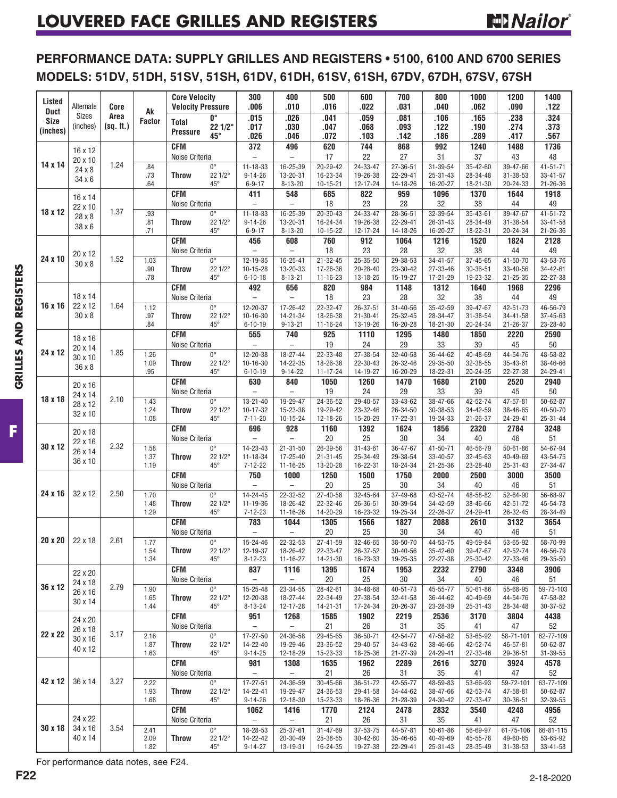## **PERFORMANCE DATA: SUPPLY GRILLES AND REGISTERS • 5100, 6100 AND 6700 SERIES MODELS: 51DV, 51DH, 51SV, 51SH, 61DV, 61DH, 61SV, 61SH, 67DV, 67DH, 67SV, 67SH**

| Listed<br><b>Duct</b>   | Alternate<br><b>Sizes</b>     | Core<br>Area | Ak            | <b>Core Velocity</b><br><b>Velocity Pressure</b> |                                                     | 300<br>.006                          | 400<br>.010                          | 500<br>.016                | 600<br>.022                | 700<br>.031          | 800<br>.040                | 1000<br>.062               | 1200<br>.090               | 1400<br>.122               |
|-------------------------|-------------------------------|--------------|---------------|--------------------------------------------------|-----------------------------------------------------|--------------------------------------|--------------------------------------|----------------------------|----------------------------|----------------------|----------------------------|----------------------------|----------------------------|----------------------------|
| <b>Size</b><br>(inches) | (inches)                      | (sq. ft.)    | <b>Factor</b> | <b>Total</b><br><b>Pressure</b>                  | $\overline{\mathbf{0}^{\circ}}$<br>$221/2$ °<br>45° | .015<br>.017<br>.026                 | .026<br>.030<br>.046                 | .041<br>.047<br>.072       | .059<br>.068<br>.103       | .081<br>.093<br>.142 | .106<br>.122<br>.186       | .165<br>.190<br>.289       | .238<br>.274<br>.417       | .324<br>.373<br>.567       |
|                         | 16 x 12                       |              |               | <b>CFM</b><br>Noise Criteria                     |                                                     | 372<br>$\overline{\phantom{0}}$      | 496<br>$\qquad \qquad -$             | 620<br>17                  | 744<br>22                  | 868<br>27            | 992<br>31                  | 1240<br>37                 | 1488<br>43                 | 1736<br>48                 |
| 14 x 14                 | 20 x 10<br>24 x 8             | 1.24         | .84           |                                                  | $0^{\circ}$                                         | $11 - 18 - 33$                       | 16-25-39                             | $20 - 29 - 42$             | 24-33-47                   | 27-36-51             | 31-39-54                   | 35-42-60                   | 39-47-66                   | $41 - 51 - 71$             |
|                         | $34 \times 6$                 |              | .73           | <b>Throw</b>                                     | 22 1/2°                                             | $9 - 14 - 26$                        | 13-20-31                             | 16-23-34                   | 19-26-38                   | 22-29-41             | $25 - 31 - 43$             | 28-34-48                   | $31 - 38 - 53$             | $33 - 41 - 57$<br>21-26-36 |
|                         |                               |              | .64           | <b>CFM</b>                                       | 45°                                                 | $6 - 9 - 17$<br>411                  | $8 - 13 - 20$<br>548                 | $10 - 15 - 21$<br>685      | 12-17-24<br>822            | 14-18-26<br>959      | 16-20-27<br>1096           | $18 - 21 - 30$<br>1370     | 20-24-33<br>1644           | 1918                       |
|                         | 16 x 14<br>22 x 10            |              |               | Noise Criteria                                   |                                                     |                                      | $\equiv$                             | 18                         | 23                         | 28                   | 32                         | 38                         | 44                         | 49                         |
| 18 x 12                 | 28 x 8                        | 1.37         | .93<br>.81    | <b>Throw</b>                                     | $0^{\circ}$<br>22 1/2°                              | $11 - 18 - 33$<br>$9 - 14 - 26$      | 16-25-39<br>13-20-31                 | $20 - 30 - 43$<br>16-24-34 | $24 - 33 - 47$<br>19-26-38 | 28-36-51<br>22-29-41 | 32-39-54<br>$26 - 31 - 43$ | 35-43-61<br>28-34-49       | 39-47-67<br>$31 - 38 - 54$ | $41 - 51 - 72$<br>33-41-58 |
|                         | 38 x 6                        |              | .71           |                                                  | 45°                                                 | $6 - 9 - 17$                         | $8 - 13 - 20$                        | 10-15-22                   | 12-17-24                   | 14-18-26             | 16-20-27                   | 18-22-31                   | 20-24-34                   | 21-26-36                   |
|                         |                               |              |               | <b>CFM</b>                                       |                                                     | 456                                  | 608                                  | 760                        | 912                        | 1064                 | 1216                       | 1520                       | 1824                       | 2128                       |
| 24 x 10                 | 20 x 12                       | 1.52         | 1.03          | Noise Criteria                                   | $0^\circ$                                           | $\overline{\phantom{0}}$<br>12-19-35 | $\qquad \qquad -$<br>$16 - 25 - 41$  | 18<br>21-32-45             | 23<br>25-35-50             | 28<br>29-38-53       | 32<br>$34 - 41 - 57$       | 38<br>37-45-65             | 44<br>41-50-70             | 49<br>43-53-76             |
|                         | $30 \times 8$                 |              | .90           | <b>Throw</b>                                     | 22 1/2°                                             | $10 - 15 - 28$                       | 13-20-33                             | 17-26-36                   | 20-28-40                   | 23-30-42             | 27-33-46                   | $30 - 36 - 51$             | 33-40-56                   | 34-42-61                   |
|                         |                               |              | .78           | <b>CFM</b>                                       | $45^{\circ}$                                        | $6 - 10 - 18$<br>492                 | $8 - 13 - 21$<br>656                 | 11-16-23<br>820            | 13-18-25<br>984            | 15-19-27<br>1148     | 17-21-29<br>1312           | 19-23-32<br>1640           | $21 - 25 - 35$<br>1968     | 22-27-38                   |
|                         | 18 x 14                       |              |               | Noise Criteria                                   |                                                     |                                      |                                      | 18                         | 23                         | 28                   | 32                         | 38                         | 44                         | 2296<br>49                 |
| 16 x 16                 | 22 x 12                       | 1.64         | 1.12          |                                                  | $0^{\circ}$                                         | 12-20-37                             | 17-26-42                             | 22-32-47                   | 26-37-51                   | 31-40-56             | 35-42-59                   | 39-47-67                   | 42-51-73                   | 46-56-79                   |
|                         | $30 \times 8$                 |              | .97<br>.84    | <b>Throw</b>                                     | 22 1/2°<br>$45^{\circ}$                             | 10-16-30<br>$6 - 10 - 19$            | 14-21-34<br>$9 - 13 - 21$            | 18-26-38<br>$11 - 16 - 24$ | $21 - 30 - 41$<br>13-19-26 | 25-32-45<br>16-20-28 | 28-34-47<br>18-21-30       | $31 - 38 - 54$<br>20-24-34 | 34-41-58<br>$21 - 26 - 37$ | 37-45-63<br>23-28-40       |
|                         | 18 x 16                       |              |               | <b>CFM</b>                                       |                                                     | 555                                  | 740                                  | 925                        | 1110                       | 1295                 | 1480                       | 1850                       | 2220                       | 2590                       |
| 24 x 12                 | 20 x 14                       | 1.85         |               | Noise Criteria                                   |                                                     | $\overline{a}$                       | $\overline{\phantom{0}}$             | 19                         | 24                         | 29                   | 33                         | 39                         | 45                         | 50                         |
|                         | 30 x 10                       |              | 1.26<br>1.09  | <b>Throw</b>                                     | $0^\circ$<br>22 1/2°                                | 12-20-38<br>$10 - 16 - 30$           | 18-27-44<br>14-22-35                 | 22-33-48<br>18-26-38       | 27-38-54<br>22-30-43       | 32-40-58<br>26-32-46 | 36-44-62<br>29-35-50       | 40-48-69<br>32-38-55       | 44-54-76<br>35-43-61       | 48-58-82<br>38-46-66       |
|                         | 36 x 8                        |              | .95           |                                                  | 45°                                                 | $6 - 10 - 19$                        | $9 - 14 - 22$                        | $11 - 17 - 24$             | 14-19-27                   | 16-20-29             | 18-22-31                   | $20 - 24 - 35$             | 22-27-38                   | 24-29-41                   |
|                         | 20 x 16                       |              |               | <b>CFM</b>                                       |                                                     | 630                                  | 840                                  | 1050                       | 1260                       | 1470                 | 1680                       | 2100                       | 2520                       | 2940                       |
| 18 x 18                 | 24 x 14<br>28 x 12<br>32 x 10 | 2.10         | 1.43          | Noise Criteria                                   | $0^{\circ}$                                         | $13 - 21 - 40$                       | $\overline{\phantom{0}}$<br>19-29-47 | 19<br>24-36-52             | 24<br>29-40-57             | 29<br>33-43-62       | 33<br>38-47-66             | 39<br>42-52-74             | 45<br>47-57-81             | 50<br>$50 - 62 - 87$       |
|                         |                               |              | 1.24          | <b>Throw</b>                                     | 22 1/2°                                             | $10 - 17 - 32$                       | 15-23-38                             | 19-29-42                   | 23-32-46                   | 26-34-50             | 30-38-53                   | 34-42-59                   | 38-46-65                   | 40-50-70                   |
|                         |                               |              | 1.08          | <b>CFM</b>                                       | $45^{\circ}$                                        | $7 - 11 - 20$<br>696                 | $10 - 15 - 24$<br>928                | 12-18-26<br>1160           | 15-20-29<br>1392           | 17-22-31<br>1624     | 19-24-33<br>1856           | $21 - 26 - 37$<br>2320     | 24-29-41<br>2784           | $25 - 31 - 44$<br>3248     |
|                         | 20 x 18<br>22 x 16<br>26 x 14 |              |               | Noise Criteria                                   |                                                     | $\equiv$                             | $\overline{\phantom{0}}$             | $20\,$                     | 25                         | $30\,$               | 34                         | 40                         | 46                         | 51                         |
| 30 x 12                 |                               | 2.32         | 1.58          |                                                  | $0^\circ$                                           | 14-23-43                             | $21 - 31 - 50$                       | 26-39-56                   | $31 - 43 - 61$             | 36-47-67             | 41-50-71                   | 46-56-79                   | $50 - 61 - 86$             | 54-67-94                   |
|                         | 36 x 10                       |              | 1.37<br>1.19  | <b>Throw</b>                                     | 22 1/2°<br>$45^{\circ}$                             | $11 - 18 - 34$<br>$7 - 12 - 22$      | 17-25-40<br>$11 - 16 - 25$           | $21 - 31 - 45$<br>13-20-28 | 25-34-49<br>16-22-31       | 29-38-54<br>18-24-34 | 33-40-57<br>$21 - 25 - 36$ | 32-45-63<br>23-28-40       | 40-49-69<br>25-31-43       | 43-54-75<br>27-34-47       |
|                         |                               |              |               | <b>CFM</b>                                       |                                                     | 750                                  | 1000                                 | 1250                       | 1500                       | 1750                 | 2000                       | 2500                       | 3000                       | 3500                       |
| 24 x 16                 | 32 x 12                       | 2.50         | 1.70          | Noise Criteria                                   | $0^{\circ}$                                         | $\overline{\phantom{0}}$<br>14-24-45 | $\overline{\phantom{0}}$<br>22-32-52 | 20<br>27-40-58             | 25<br>32-45-64             | $30\,$<br>37-49-68   | 34<br>43-52-74             | 40<br>48-58-82             | 46<br>52-64-90             | 51<br>56-68-97             |
|                         |                               |              | 1.48          | <b>Throw</b>                                     | 22 1/2°                                             | 11-19-36                             | 18-26-42                             | 22-32-46                   | 26-36-51                   | 30-39-54             | 34-42-59                   | 38-46-66                   | 42-51-72                   | 45-54-78                   |
|                         |                               |              | 1.29          | <b>CFM</b>                                       | $45^{\circ}$                                        | $7 - 12 - 23$<br>783                 | $11 - 16 - 26$<br>1044               | 14-20-29<br>1305           | 16-23-32<br>1566           | 19-25-34<br>1827     | 22-26-37<br>2088           | 24-29-41<br>2610           | 26-32-45<br>3132           | 28-34-49<br>3654           |
|                         |                               | 2.61         |               | Noise Criteria                                   |                                                     | $\overline{\phantom{0}}$             | $\overline{\phantom{0}}$             | 20                         | 25                         | 30                   | 34                         | 40                         | 46                         | 51                         |
| 20 x 20                 | 22 x 18                       |              | 1.77          |                                                  | $0^{\circ}$                                         | 15-24-46                             | 22-32-53                             | 27-41-59                   | 32-46-65                   | 38-50-70             | 44-53-75                   | 49-59-84                   | 53-65-92                   | 58-70-99                   |
|                         |                               |              | 1.54<br>1.34  | Throw                                            | 22 1/2°<br>$45^{\circ}$                             | 12-19-37<br>$8 - 12 - 23$            | 18-26-42<br>$11 - 16 - 27$           | 22-33-47<br>14-21-30       | 26-37-52<br>16-23-33       | 30-40-56<br>19-25-35 | 35-42-60<br>22-27-38       | 39-47-67<br>25-30-42       | 42-52-74<br>27-33-46       | 46-56-79<br>29-35-50       |
|                         | 22 x 20                       |              |               | <b>CFM</b>                                       |                                                     | 837                                  | 1116                                 | 1395                       | 1674                       | 1953                 | 2232                       | 2790                       | 3348                       | 3906                       |
| 36 x 12                 | 24 x 18                       | 2.79         |               | Noise Criteria                                   |                                                     | -                                    | $\overline{\phantom{0}}$             | 20                         | 25                         | $30\,$               | 34                         | 40                         | 46                         | 51                         |
|                         | 26 x 16                       |              | 1.90<br>1.65  | Throw                                            | $0^\circ$<br>22 1/2°                                | 15-25-48<br>12-20-38                 | 23-34-55<br>18-27-44                 | 28-42-61<br>22-34-49       | 34-48-68<br>27-38-54       | 40-51-73<br>32-41-58 | 45-55-77<br>36-44-62       | $50 - 61 - 86$<br>40-49-69 | 55-68-95<br>44-54-76       | 59-73-103<br>47-58-82      |
|                         | 30 x 14                       |              | 1.44          |                                                  | $45^{\circ}$                                        | $8 - 13 - 24$                        | 12-17-28                             | 14-21-31                   | 17-24-34                   | 20-26-37             | 23-28-39                   | $25 - 31 - 43$             | 28-34-48                   | 30-37-52                   |
|                         | 24 x 20                       |              |               | <b>CFM</b><br>Noise Criteria                     |                                                     | 951<br>$\overline{\phantom{0}}$      | 1268<br>$\overline{\phantom{0}}$     | 1585<br>21                 | 1902<br>26                 | 2219<br>31           | 2536<br>35                 | 3170<br>41                 | 3804<br>47                 | 4438<br>52                 |
| 22 x 22                 | 26 x 18<br>30 x 16            | 3.17         | 2.16          |                                                  | $0^\circ$                                           | 17-27-50                             | 24-36-58                             | 29-45-65                   | 36-50-71                   | 42-54-77             | 47-58-82                   | 53-65-92                   | 58-71-101                  | 62-77-109                  |
|                         | 40 x 12                       |              | 1.87          | Throw                                            | 22 1/2°                                             | 14-22-40                             | 19-29-46                             | 23-36-52                   | 29-40-57                   | 34-43-62             | 38-46-66                   | 42-52-74                   | 46-57-81                   | $50 - 62 - 87$             |
|                         |                               |              | 1.63          | <b>CFM</b>                                       | $45^{\circ}$                                        | $9 - 14 - 25$<br>981                 | 12-18-29<br>1308                     | 15-23-33<br>1635           | 18-25-36<br>1962           | 21-27-39<br>2289     | 24-29-41<br>2616           | 27-33-46<br>3270           | 29-36-51<br>3924           | $31 - 39 - 55$<br>4578     |
|                         |                               |              |               | Noise Criteria                                   |                                                     | $\overline{\phantom{0}}$             | $\overline{\phantom{0}}$             | 21                         | 26                         | 31                   | 35                         | 41                         | 47                         | 52                         |
| 42 x 12                 | 36 x 14                       | 3.27         | 2.22<br>1.93  | Throw                                            | $0^{\circ}$<br>22 1/2°                              | $17 - 27 - 51$<br>14-22-41           | 24-36-59<br>19-29-47                 | 30-45-66<br>24-36-53       | $36 - 51 - 72$<br>29-41-58 | 42-55-77<br>34-44-62 | 48-59-83<br>38-47-66       | 53-66-93<br>42-53-74       | 59-72-101<br>47-58-81      | 63-77-109<br>50-62-87      |
|                         |                               |              | 1.68          |                                                  | $45^{\circ}$                                        | $9 - 14 - 26$                        | 12-18-30                             | 15-23-33                   | 18-26-36                   | 21-28-39             | 24-30-42                   | 27-33-47                   | $30 - 36 - 51$             | 32-39-55                   |
|                         |                               |              |               | <b>CFM</b>                                       |                                                     | 1062                                 | 1416                                 | 1770                       | 2124                       | 2478                 | 2832                       | 3540                       | 4248                       | 4956                       |
|                         | 24 x 22                       |              | 2.41          | Noise Criteria                                   | $0^{\circ}$                                         | $\overline{\phantom{0}}$<br>18-28-53 | $\overline{\phantom{0}}$<br>25-37-61 | 21<br>31-47-69             | 26<br>37-53-75             | 31<br>44-57-81       | 35<br>$50 - 61 - 86$       | 41<br>56-69-97             | 47<br>61-75-106            | 52<br>66-81-115            |
| 30 x 18                 | 34 x 16<br>40 x 14            | 3.54         | 2.09          | <b>Throw</b>                                     | 22 1/2°                                             | 14-22-42                             | 20-30-49                             | 25-38-55                   | 30-42-60                   | 35-46-65             | 40-49-69                   | 45-55-78                   | 49-60-85                   | 53-65-92                   |
|                         |                               |              |               |                                                  |                                                     |                                      |                                      |                            |                            | 22-29-41             |                            |                            |                            | 33-41-58                   |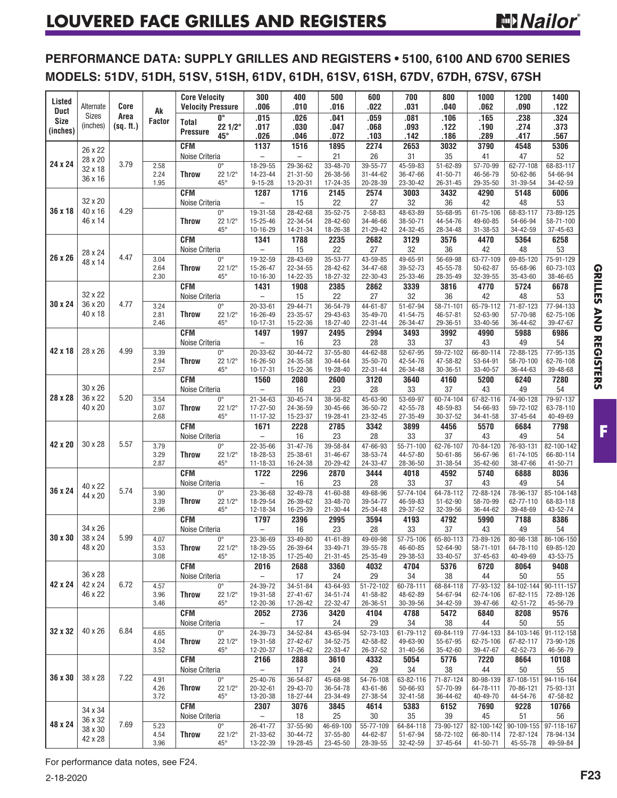**PERFORMANCE DATA: SUPPLY GRILLES AND REGISTERS • 5100, 6100 AND 6700 SERIES MODELS: 51DV, 51DH, 51SV, 51SH, 61DV, 61DH, 61SV, 61SH, 67DV, 67DH, 67SV, 67SH**

| Listed                     | Alternate                     | Core      |                     | <b>Core Velocity</b><br><b>Velocity Pressure</b> |                         | 300<br>.006                                | 400<br>.010                          | 500<br>.016                | 600<br>.022                | 700<br>.031                 | 800<br>.040                 | 1000<br>.062                | 1200<br>.090            | 1400<br>.122            |
|----------------------------|-------------------------------|-----------|---------------------|--------------------------------------------------|-------------------------|--------------------------------------------|--------------------------------------|----------------------------|----------------------------|-----------------------------|-----------------------------|-----------------------------|-------------------------|-------------------------|
| <b>Duct</b><br><b>Size</b> | Sizes                         | Area      | Ak<br><b>Factor</b> | Total                                            | 0°                      | .015                                       | .026                                 | .041                       | .059                       | .081                        | .106                        | .165                        | .238                    | .324                    |
| (inches)                   | (inches)                      | (sq. ft.) |                     | <b>Pressure</b>                                  | $221/2^{\circ}$<br>45°  | .017<br>.026                               | .030<br>.046                         | .047<br>.072               | .068<br>.103               | .093<br>.142                | .122<br>.186                | .190<br>.289                | .274<br>.417            | .373<br>.567            |
|                            | 26 x 22                       |           |                     | <b>CFM</b>                                       |                         | 1137                                       | 1516                                 | 1895                       | 2274                       | 2653                        | 3032                        | 3790                        | 4548                    | 5306                    |
| 24 x 24                    | 28 x 20                       | 3.79      | 2.58                | Noise Criteria                                   | $0^{\circ}$             | $\overline{\phantom{0}}$<br>18-29-55       | $\overline{\phantom{0}}$<br>29-36-62 | 21<br>33-48-70             | 26<br>39-55-77             | 31<br>45-59-83              | 35<br>51-62-89              | 41<br>57-70-99              | 47<br>62-77-108         | 52<br>68-83-117         |
|                            | 32 x 18<br>36 x 16            |           | 2.24                | <b>Throw</b>                                     | 22 1/2°                 | 14-23-44                                   | $21 - 31 - 50$                       | 26-38-56                   | $31 - 44 - 62$             | 36-47-66                    | 41-50-71                    | 46-56-79                    | $50 - 62 - 86$          | 54-66-94                |
|                            |                               |           | 1.95                | <b>CFM</b>                                       | $45^{\circ}$            | $9 - 15 - 28$<br>1287                      | 13-20-31<br>1716                     | 17-24-35<br>2145           | 20-28-39<br>2574           | 23-30-42<br>3003            | $26 - 31 - 45$<br>3432      | 29-35-50<br>4290            | 31-39-54<br>5148        | 34-42-59<br>6006        |
|                            | 32 x 20                       |           |                     | Noise Criteria                                   |                         | $\equiv$                                   | 15                                   | 22                         | 27                         | 32                          | 36                          | 42                          | 48                      | 53                      |
| 36 x 18                    | 40 x 16<br>46 x 14            | 4.29      |                     | <b>Throw</b>                                     | $0^{\circ}$<br>22 1/2°  | 19-31-58<br>15-25-46                       | 28-42-68<br>22-34-54                 | 35-52-75<br>28-42-60       | $2 - 58 - 83$<br>34-46-66  | 48-63-89<br>38-50-71        | 55-68-95<br>44-54-76        | $61 - 75 - 106$<br>49-60-85 | 68-83-117<br>54-66-94   | 73-89-125<br>58-71-100  |
|                            |                               |           |                     |                                                  | $45^{\circ}$            | 10-16-29                                   | 14-21-34                             | 18-26-38                   | 21-29-42                   | 24-32-45                    | 28-34-48                    | 31-38-53                    | 34-42-59                | 37-45-63                |
|                            |                               |           |                     | <b>CFM</b><br>Noise Criteria                     |                         | 1341<br>$\qquad \qquad -$                  | 1788<br>15                           | 2235<br>22                 | 2682<br>27                 | 3129<br>32                  | 3576<br>36                  | 4470<br>42                  | 5364<br>48              | 6258<br>53              |
| 26 x 26                    | 28 x 24<br>48 x 14            | 4.47      | 3.04                |                                                  | $0^{\circ}$             | 19-32-59                                   | 28-43-69                             | 35-53-77                   | 43-59-85                   | 49-65-91                    | 56-69-98                    | 63-77-109                   | 69-85-120               | 75-91-129               |
|                            |                               |           | 2.64<br>2.30        | <b>Throw</b>                                     | 22 1/2°<br>$45^{\circ}$ | 15-26-47<br>$10 - 16 - 30$                 | 22-34-55<br>14-22-35                 | 28-42-62<br>18-27-32       | 34-47-68<br>22-30-43       | 39-52-73<br>25-33-46        | 45-55-78<br>28-35-49        | $50 - 62 - 87$<br>32-39-55  | 55-68-96<br>35-43-60    | 60-73-103<br>38-46-65   |
|                            |                               |           |                     | <b>CFM</b>                                       |                         | 1431                                       | 1908                                 | 2385                       | 2862                       | 3339                        | 3816                        | 4770                        | 5724                    | 6678                    |
| 30 x 24                    | 32 x 22<br>36 x 20            | 4.77      | 3.24                | Noise Criteria                                   | $0^{\circ}$             | L.<br>$20 - 33 - 61$                       | 15<br>29-44-71                       | 22<br>36-54-79             | 27<br>44-61-87             | 32<br>51-67-94              | 36<br>58-71-101             | 42<br>65-79-112             | 48<br>71-87-123         | 53<br>77-94-133         |
|                            | 40 x 18                       |           | 2.81                | <b>Throw</b>                                     | 22 1/2°                 | 16-26-49                                   | 23-35-57                             | 29-43-63                   | 35-49-70                   | 41-54-75                    | 46-57-81                    | 52-63-90                    | 57-70-98                | 62-75-106               |
|                            |                               |           | 2.46                | <b>CFM</b>                                       | $45^{\circ}$            | 10-17-31<br>1497                           | 15-22-36<br>1997                     | 18-27-40<br>2495           | 22-31-44<br>2994           | 26-34-47<br>3493            | 29-36-51<br>3992            | 33-40-56<br>4990            | 36-44-62<br>5988        | 39-47-67<br>6986        |
|                            |                               |           |                     | Noise Criteria                                   |                         | $\overline{\phantom{a}}$                   | 16                                   | 23                         | 28                         | 33                          | 37                          | 43                          | 49                      | 54                      |
| 42 x 18                    | 28 x 26                       | 4.99      | 3.39                |                                                  | $0^{\circ}$             | 20-33-62                                   | $30 - 44 - 72$                       | $37 - 55 - 80$             | 44-62-88                   | $52 - 67 - 95$              | 59-72-102                   | 66-80-114                   | 72-88-125               | 77-95-135               |
|                            |                               |           | 2.94<br>2.57        | Throw                                            | 22 1/2°<br>$45^{\circ}$ | 16-26-50<br>$10 - 17 - 31$                 | 24-35-58<br>15-22-36                 | 30-44-64<br>19-28-40       | 35-50-70<br>$22 - 31 - 44$ | 42-54-76<br>26-34-48        | 47-58-82<br>$30 - 36 - 51$  | 53-64-91<br>33-40-57        | 58-70-100<br>36-44-63   | 62-76-108<br>39-48-68   |
|                            |                               |           |                     | <b>CFM</b>                                       |                         | 1560                                       | 2080                                 | 2600                       | 3120                       | 3640                        | 4160                        | 5200                        | 6240                    | 7280                    |
| 28 x 28                    | 30 x 26<br>36 x 22<br>40 x 20 | 5.20      | 3.54                | Noise Criteria                                   | $0^{\circ}$             | $\overline{\phantom{0}}$<br>$21 - 34 - 63$ | 16<br>$30 - 45 - 74$                 | 23<br>38-56-82             | 28<br>45-63-90             | 33<br>53-69-97              | 37<br>60-74-104             | 43<br>67-82-116             | 49<br>74-90-128         | 54<br>79-97-137         |
|                            |                               |           | 3.07                | <b>Throw</b>                                     | 22 1/2°                 | 17-27-50                                   | 24-36-59                             | 30-45-66                   | 36-50-72                   | 42-55-78                    | 48-59-83                    | 54-66-93                    | 59-72-102               | 63-78-110               |
|                            |                               |           | 2.68                | <b>CFM</b>                                       | $45^{\circ}$            | $11 - 17 - 32$<br>1671                     | 15-23-37<br>2228                     | 19-28-41<br>2785           | 23-32-45<br>3342           | 27-35-49<br>3899            | 30-37-52<br>4456            | 34-41-58<br>5570            | 37-45-64<br>6684        | 40-49-69<br>7798        |
|                            |                               |           |                     | Noise Criteria                                   |                         |                                            | 16                                   | 23                         | 28                         | 33                          | 37                          | 43                          | 49                      | 54                      |
| 42 x 20                    | 30 x 28                       | 5.57      | 3.79<br>3.29        | Throw                                            | $0^{\circ}$<br>22 1/2°  | 22-35-66<br>18-28-53                       | $31 - 47 - 76$<br>25-38-61           | 39-58-84<br>$31 - 46 - 67$ | 47-66-93<br>38-53-74       | $55 - 71 - 100$<br>44-57-80 | 62-76-107<br>$50 - 61 - 86$ | 70-84-120<br>56-67-96       | 76-93-131<br>61-74-105  | 82-100-142<br>66-80-114 |
|                            |                               |           | 2.87                |                                                  | $45^{\circ}$            | 11-18-33                                   | 16-24-38                             | 20-29-42                   | 24-33-47                   | 28-36-50                    | $31 - 38 - 54$              | 35-42-60                    | 38-47-66                | 41-50-71                |
|                            |                               |           |                     | <b>CFM</b><br>Noise Criteria                     |                         | 1722<br>$\equiv$                           | 2296<br>16                           | 2870<br>23                 | 3444<br>28                 | 4018<br>33                  | 4592<br>37                  | 5740<br>43                  | 6888<br>49              | 8036<br>54              |
| 36 x 24                    | 40 x 22<br>44 x 20            | 5.74      | 3.90                |                                                  | $0^{\circ}$             | 23-36-68                                   | 32-49-78                             | 41-60-88                   | 49-68-96                   | 57-74-104                   | 64-78-112                   | 72-88-124                   | 78-96-137               | 85-104-148              |
|                            |                               |           | 3.39<br>2.96        | <b>Throw</b>                                     | 22 1/2°<br>$45^{\circ}$ | 18-29-54<br>12-18-34                       | 26-39-62<br>16-25-39                 | 33-48-70<br>$21 - 30 - 44$ | 39-54-77<br>25-34-48       | 46-59-83<br>29-37-52        | $51 - 62 - 90$<br>32-39-56  | 58-70-99<br>36-44-62        | 62-77-110<br>39-48-69   | 68-83-118<br>43-52-74   |
|                            |                               |           |                     | <b>CFM</b>                                       |                         | 1797                                       | 2396                                 | 2995                       | 3594                       | 4193                        | 4792                        | 5990                        | 7188                    | 8386                    |
| 30 x 30                    | 34 x 26<br>38 x 24            | 5.99      | 4.07                | Noise Criteria                                   | $0^{\circ}$             | 23-36-69                                   | 16<br>33-49-80                       | 23<br>41-61-89             | 28<br>49-69-98             | 33<br>57-75-106             | 37<br>65-80-113             | 43<br>73-89-126             | 49<br>80-98-138         | 54<br>86-106-150        |
|                            | 48 x 20                       |           | 3.53                | Throw                                            | 22 1/2°                 | 18-29-55                                   | 26-39-64                             | 33-49-71                   | 39-55-78                   | 46-60-85                    | 52-64-90                    | 58-71-101                   | 64-78-110               | 69-85-120               |
|                            |                               |           | 3.08                | <b>CFM</b>                                       | $45^{\circ}$            | 12-18-35<br>2016                           | 17-25-40<br>2688                     | $21 - 31 - 45$<br>3360     | 25-35-49<br>4032           | 29-38-53<br>4704            | 33-40-57<br>5376            | 37-45-63<br>6720            | 40-49-69<br>8064        | 43-53-75<br>9408        |
|                            | 36 x 28                       |           |                     | Noise Criteria                                   |                         | $\overline{\phantom{a}}$                   | 17                                   | 24                         | 29                         | 34                          | 38                          | 44                          | 50                      | 55                      |
| 42 x 24                    | 42 x 24<br>46 x 22            | 6.72      | 4.57<br>3.96        | Throw                                            | $0^{\circ}$<br>22 1/2°  | 24-39-72<br>19-31-58                       | 34-51-84<br>$27 - 41 - 67$           | 43-64-93<br>34-51-74       | 51-72-102<br>41-58-82      | 60-78-111<br>48-62-89       | 68-84-118<br>54-67-94       | 77-93-132<br>62-74-106      | 84-102-144<br>67-82-115 | 90-111-157<br>72-89-126 |
|                            |                               |           | 3.46                |                                                  | $45^{\circ}$            | 12-20-36                                   | 17-26-42                             | 22-32-47                   | 26-36-51                   | 30-39-56                    | 34-42-59                    | 39-47-66                    | 42-51-72                | 45-56-79                |
|                            |                               |           |                     | <b>CFM</b><br>Noise Criteria                     |                         | 2052<br>$\overline{\phantom{0}}$           | 2736<br>17                           | 3420<br>24                 | 4104<br>29                 | 4788<br>34                  | 5472<br>38                  | 6840<br>44                  | 8208<br>50              | 9576<br>55              |
| 32 x 32                    | 40 x 26                       | 6.84      | 4.65                |                                                  | $0^{\circ}$             | 24-39-73                                   | 34-52-84                             | 43-65-94                   | 52-73-103                  | 61-79-112                   | 69-84-119                   | 77-94-133                   | 84-103-146              | 91-112-158              |
|                            |                               |           | 4.04<br>3.52        | Throw                                            | 22 1/2°<br>$45^{\circ}$ | 19-31-58<br>12-20-37                       | 27-42-67<br>17-26-42                 | 34-52-75<br>22-33-47       | 42-58-82<br>26-37-52       | 49-63-90<br>31-40-56        | 55-67-95<br>35-42-60        | 62-75-106<br>39-47-67       | 67-82-117<br>42-52-73   | 73-90-126<br>46-56-79   |
|                            |                               |           |                     | CFM                                              |                         | 2166                                       | 2888                                 | 3610                       | 4332                       | 5054                        | 5776                        | 7220                        | 8664                    | 10108                   |
| 36 x 30                    | 38 x 28                       | 7.22      | 4.91                | Noise Criteria                                   | $0^{\circ}$             | $\overline{\phantom{a}}$<br>25-40-76       | 17<br>36-54-87                       | 24<br>45-68-98             | 29<br>54-76-108            | 34<br>63-82-116             | 38<br>71-87-124             | 44<br>80-98-139             | $50\,$<br>87-108-151    | 55<br>94-116-164        |
|                            |                               |           | 4.26                | Throw                                            | $221/2^{\circ}$         | 20-32-61                                   | 29-43-70                             | 36-54-78                   | 43-61-86                   | 50-66-93                    | 57-70-99                    | 64-78-111                   | 70-86-121               | 75-93-131               |
|                            |                               |           | 3.72                | CFM                                              | $45^{\circ}$            | 13-20-38<br>2307                           | 18-27-44<br>3076                     | 23-34-49<br>3845           | 27-38-54<br>4614           | 32-41-58<br>5383            | 36-44-62<br>6152            | 40-49-70<br>7690            | 44-54-76<br>9228        | 47-58-82<br>10766       |
|                            | 34 x 34<br>36 x 32            |           |                     | Noise Criteria                                   |                         | $\overline{\phantom{0}}$                   | 18                                   | 25                         | 30                         | 35                          | 39                          | 45                          | 51                      | 56                      |
| 48 x 24                    | 38 x 30                       | 7.69      | 5.23                |                                                  | $0^{\circ}$             | 26-41-77                                   | 37-55-90                             | 46-69-100                  | 55-77-109                  | 64-84-118                   | 73-90-127                   | 82-100-142                  | 90-109-155              | 97-118-167              |
|                            | 42 x 28                       |           | 4.54<br>3.96        | <b>Throw</b>                                     | 22 1/2°<br>$45^{\circ}$ | 21-33-62<br>13-22-39                       | 30-44-72<br>19-28-45                 | 37-55-80<br>23-45-50       | 44-62-87<br>28-39-55       | 51-67-94<br>32-42-59        | 58-72-102<br>37-45-64       | 66-80-114<br>41-50-71       | 72-87-124<br>45-55-78   | 78-94-134<br>49-59-84   |